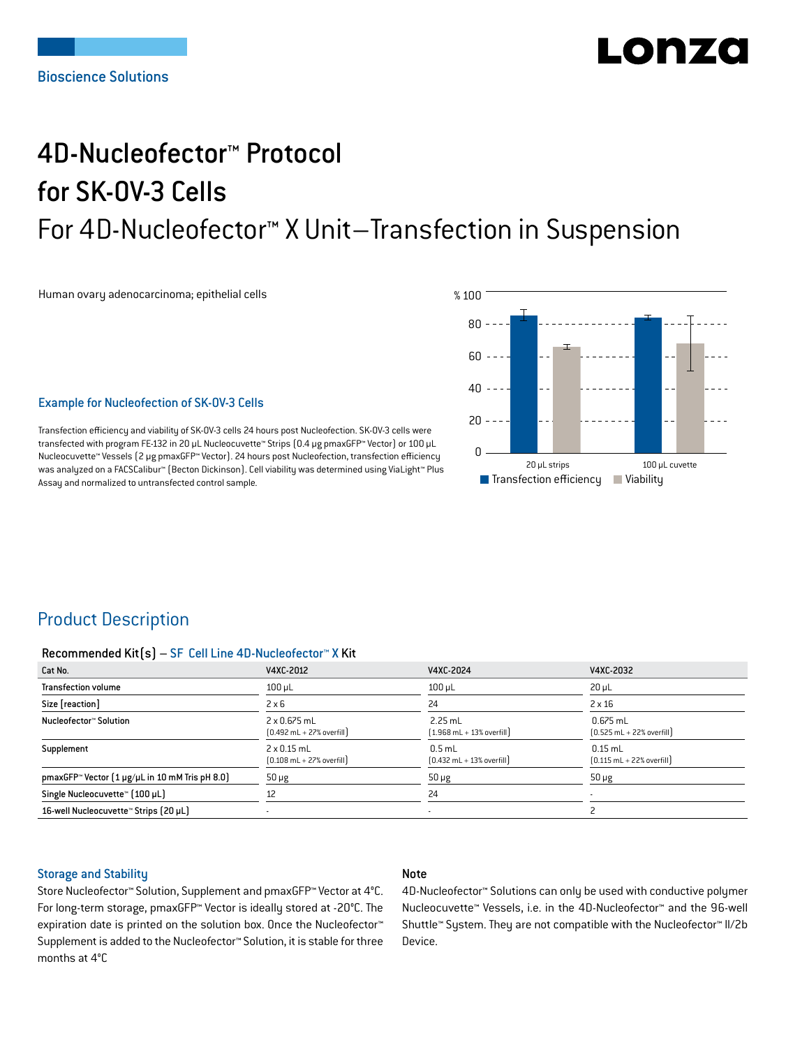# LONZ

## 4D-Nucleofector™ Protocol for SK-OV-3 Cells For 4D-Nucleofector™ X Unit–Transfection in Suspension

Human ovary adenocarcinoma; epithelial cells



## Example for Nucleofection of SK-OV-3 Cells

Transfection efficiency and viability of SK-OV-3 cells 24 hours post Nucleofection. SK-OV-3 cells were transfected with program FE-132 in 20 μL Nucleocuvette™ Strips (0.4 μg pmaxGFP™ Vector) or 100 μL Nucleocuvette™ Vessels (2 μg pmaxGFP™ Vector). 24 hours post Nucleofection, transfection efficiency was analyzed on a FACSCalibur™ (Becton Dickinson). Cell viability was determined using ViaLight™ Plus Assay and normalized to untransfected control sample.

## Product Description

#### Recommended Kit(s) – SF Cell Line 4D-Nucleofector™ X Kit

| Cat No.                                                           | V4XC-2012                                                           | V4XC-2024                                                 | V4XC-2032                                                  |
|-------------------------------------------------------------------|---------------------------------------------------------------------|-----------------------------------------------------------|------------------------------------------------------------|
| <b>Transfection volume</b>                                        | $100 \mu L$                                                         | $100$ $\mu$ L                                             | $20 \mu L$                                                 |
| Size [reaction]                                                   | $2 \times 6$                                                        | 24                                                        | $2 \times 16$                                              |
| Nucleofector™ Solution                                            | $2 \times 0.675$ mL<br>$[0.492 \text{ mL} + 27\% \text{ overfill}]$ | $2.25$ mL<br>$[1.968 \text{ mL} + 13\% \text{ overfill}]$ | $0.675$ mL<br>$[0.525 \text{ mL} + 22\% \text{ overfill}]$ |
| Supplement                                                        | $2 \times 0.15$ mL<br>$[0.108 \text{ mL} + 27\% \text{ overfill}]$  | $0.5$ mL<br>$[0.432 \text{ mL} + 13\% \text{ overfill}]$  | $0.15$ mL<br>$[0.115 \text{ mL} + 22\% \text{ overfill}]$  |
| pmaxGFP <sup>*</sup> Vector $[1 \mu g/\mu L$ in 10 mM Tris pH 8.0 | $50 \mu g$                                                          | $50 \mu g$                                                | $50 \mu g$                                                 |
| Single Nucleocuvette™ [100 µL]                                    | 12                                                                  | 24                                                        |                                                            |
| 16-well Nucleocuvette™ Strips (20 µL)                             |                                                                     | $\overline{\phantom{a}}$                                  |                                                            |

## Storage and Stability

## Note

Store Nucleofector™ Solution, Supplement and pmaxGFP™ Vector at 4°C. For long-term storage, pmaxGFP™ Vector is ideally stored at -20°C. The expiration date is printed on the solution box. Once the Nucleofector™ Supplement is added to the Nucleofector™ Solution, it is stable for three months at 4°C

4D-Nucleofector™ Solutions can only be used with conductive polymer Nucleocuvette™ Vessels, i.e. in the 4D-Nucleofector™ and the 96-well Shuttle™ System. They are not compatible with the Nucleofector™ II/2b Device.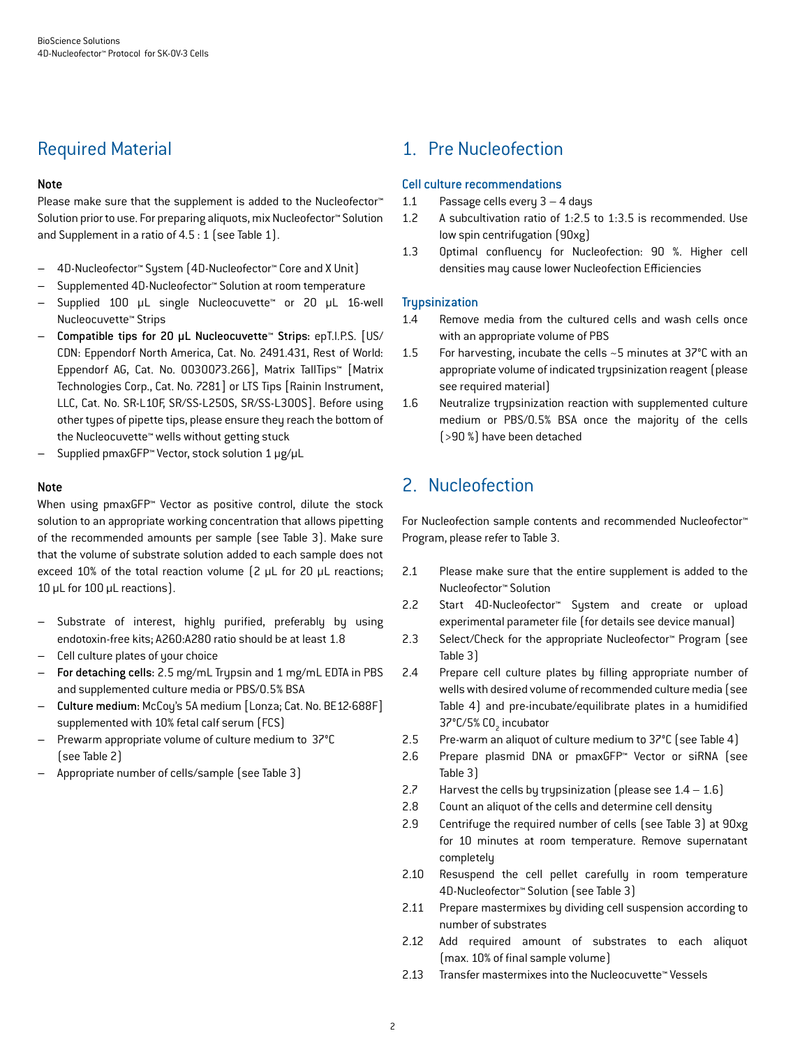## Required Material

## Note

Please make sure that the supplement is added to the Nucleofector<sup>™</sup> Solution prior to use. For preparing aliquots, mix Nucleofector™ Solution and Supplement in a ratio of 4.5 : 1 (see Table 1).

- 4D-Nucleofector™ System (4D-Nucleofector™ Core and X Unit)
- Supplemented 4D-Nucleofector™ Solution at room temperature
- Supplied 100 µL single Nucleocuvette™ or 20 µL 16-well Nucleocuvette™ Strips
- Compatible tips for 20 µL Nucleocuvette™ Strips: epT.I.P.S. [US/ CDN: Eppendorf North America, Cat. No. 2491.431, Rest of World: Eppendorf AG, Cat. No. 0030073.266], Matrix TallTips™ [Matrix Technologies Corp., Cat. No. 7281] or LTS Tips [Rainin Instrument, LLC, Cat. No. SR-L10F, SR/SS-L250S, SR/SS-L300S]. Before using other types of pipette tips, please ensure they reach the bottom of the Nucleocuvette™ wells without getting stuck
- Supplied pmaxGFP™ Vector, stock solution 1 μg/μL

## Note

When using pmaxGFP™ Vector as positive control, dilute the stock solution to an appropriate working concentration that allows pipetting of the recommended amounts per sample (see Table 3). Make sure that the volume of substrate solution added to each sample does not exceed 10% of the total reaction volume (2 μL for 20 μL reactions; 10 μL for 100 μL reactions).

- Substrate of interest, highly purified, preferably by using endotoxin-free kits; A260:A280 ratio should be at least 1.8
- Cell culture plates of your choice
- For detaching cells: 2.5 mg/mL Trypsin and 1 mg/mL EDTA in PBS and supplemented culture media or PBS/0.5% BSA
- Culture medium: McCoy's 5A medium [Lonza; Cat. No. BE12-688F] supplemented with 10% fetal calf serum (FCS)
- Prewarm appropriate volume of culture medium to 37°C (see Table 2)
- Appropriate number of cells/sample (see Table 3)

## 1. Pre Nucleofection

## Cell culture recommendations

- 1.1 Passage cells every 3 4 days
- 1.2 A subcultivation ratio of 1:2.5 to 1:3.5 is recommended. Use low spin centrifugation (90xg)
- 1.3 Optimal confluency for Nucleofection: 90 %. Higher cell densities may cause lower Nucleofection Efficiencies

## **Trupsinization**

- 1.4 Remove media from the cultured cells and wash cells once with an appropriate volume of PBS
- 1.5 For harvesting, incubate the cells ~5 minutes at 37°C with an appropriate volume of indicated trypsinization reagent (please see required material)
- 1.6 Neutralize trypsinization reaction with supplemented culture medium or PBS/0.5% BSA once the majority of the cells (>90 %) have been detached

## 2. Nucleofection

For Nucleofection sample contents and recommended Nucleofector™ Program, please refer to Table 3.

- 2.1 Please make sure that the entire supplement is added to the Nucleofector™ Solution
- 2.2 Start 4D-Nucleofector™ System and create or upload experimental parameter file (for details see device manual)
- 2.3 Select/Check for the appropriate Nucleofector™ Program (see Table 3)
- 2.4 Prepare cell culture plates by filling appropriate number of wells with desired volume of recommended culture media (see Table 4) and pre-incubate/equilibrate plates in a humidified 37°C/5% CO<sub>2</sub> incubator
- 2.5 Pre-warm an aliquot of culture medium to 37°C (see Table 4)
- 2.6 Prepare plasmid DNA or pmaxGFP™ Vector or siRNA (see Table 3)
- 2.7 Harvest the cells by trypsinization (please see  $1.4 1.6$ )
- 2.8 Count an aliquot of the cells and determine cell density
- 2.9 Centrifuge the required number of cells (see Table 3) at 90xg for 10 minutes at room temperature. Remove supernatant completely
- 2.10 Resuspend the cell pellet carefully in room temperature 4D-Nucleofector™ Solution (see Table 3)
- 2.11 Prepare mastermixes by dividing cell suspension according to number of substrates
- 2.12 Add required amount of substrates to each aliquot (max. 10% of final sample volume)
- 2.13 Transfer mastermixes into the Nucleocuvette™ Vessels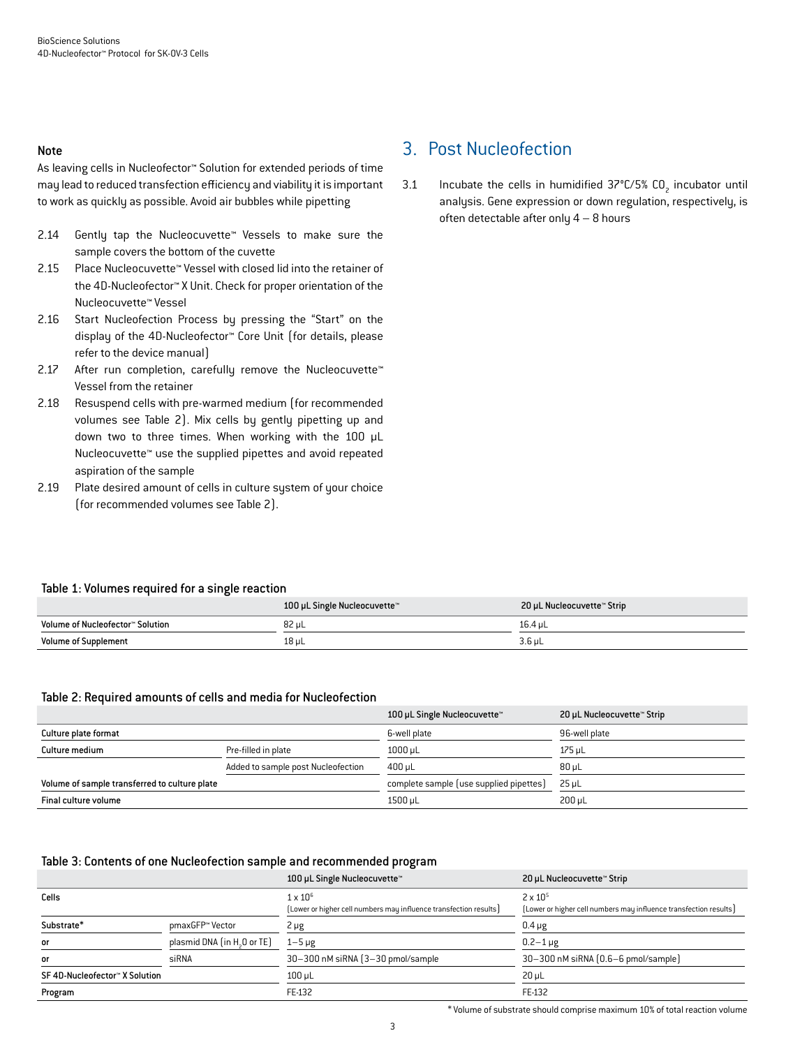#### Note

As leaving cells in Nucleofector™ Solution for extended periods of time may lead to reduced transfection efficiency and viability it is important to work as quickly as possible. Avoid air bubbles while pipetting

- 2.14 Gently tap the Nucleocuvette™ Vessels to make sure the sample covers the bottom of the cuvette
- 2.15 Place Nucleocuvette™ Vessel with closed lid into the retainer of the 4D-Nucleofector™ X Unit. Check for proper orientation of the Nucleocuvette™ Vessel
- 2.16 Start Nucleofection Process by pressing the "Start" on the display of the 4D-Nucleofector™ Core Unit (for details, please refer to the device manual)
- 2.17 After run completion, carefully remove the Nucleocuvette™ Vessel from the retainer
- 2.18 Resuspend cells with pre-warmed medium (for recommended volumes see Table 2). Mix cells by gently pipetting up and down two to three times. When working with the 100 µL Nucleocuvette™ use the supplied pipettes and avoid repeated aspiration of the sample
- 2.19 Plate desired amount of cells in culture system of your choice (for recommended volumes see Table 2).

## 3. Post Nucleofection

3.1 Incubate the cells in humidified  $37^{\circ}$ C/5% CO<sub>2</sub> incubator until analysis. Gene expression or down regulation, respectively, is often detectable after only 4 – 8 hours

## Table 1: Volumes required for a single reaction

|                                  | 100 µL Single Nucleocuvette™ | 20 µL Nucleocuvette™ Strip |
|----------------------------------|------------------------------|----------------------------|
| Volume of Nucleofector™ Solution | 82 uL                        | 16.4 uL                    |
| <b>Volume of Supplement</b>      | 18 µL                        | 3.6 µL                     |

#### Table 2: Required amounts of cells and media for Nucleofection

|                                               |                                    | 100 µL Single Nucleocuvette™            | 20 µL Nucleocuvette™ Strip |
|-----------------------------------------------|------------------------------------|-----------------------------------------|----------------------------|
| Culture plate format                          |                                    | 6-well plate                            | 96-well plate              |
| Culture medium                                | Pre-filled in plate                | 1000 uL                                 | 175 uL                     |
|                                               | Added to sample post Nucleofection | 400 uL                                  | $80 \mu L$                 |
| Volume of sample transferred to culture plate |                                    | complete sample (use supplied pipettes) | $25 \mu L$                 |
| Final culture volume                          |                                    | 1500 µL                                 | 200 uL                     |

#### Table 3: Contents of one Nucleofection sample and recommended program

|                               |                                         | 100 µL Single Nucleocuvette™                                                         | 20 µL Nucleocuvette™ Strip                                                             |
|-------------------------------|-----------------------------------------|--------------------------------------------------------------------------------------|----------------------------------------------------------------------------------------|
| Cells                         |                                         | $1 \times 10^6$<br>[Lower or higher cell numbers may influence transfection results] | $2 \times 10^{5}$<br>[Lower or higher cell numbers may influence transfection results] |
| Substrate*                    | pmaxGFP™ Vector                         | $2 \mu g$                                                                            | $0.4 \mu g$                                                                            |
| or                            | plasmid DNA (in H <sub>2</sub> O or TE) | $1-5 \mu g$                                                                          | $0.2 - 1 \,\mu g$                                                                      |
| or                            | siRNA                                   | 30-300 nM siRNA (3-30 pmol/sample)                                                   | 30-300 nM siRNA (0.6-6 pmol/sample)                                                    |
| SF4D-Nucleofector™ X Solution |                                         | $100 \mu L$                                                                          | $20 \mu L$                                                                             |
| Program                       |                                         | FE-132                                                                               | FE-132                                                                                 |

\* Volume of substrate should comprise maximum 10% of total reaction volume